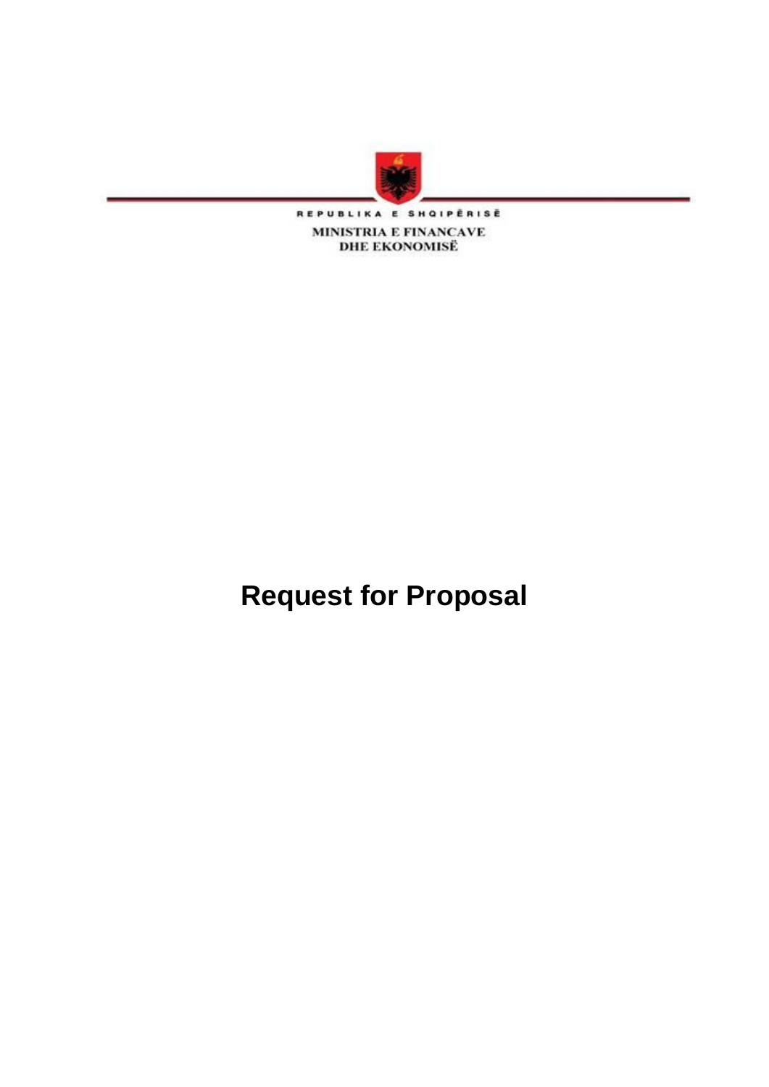

REPUBLIKA E SHQIPËRISË **MINISTRIA E FINANCAVE<br>DHE EKONOMISË** 

**Request for Proposal**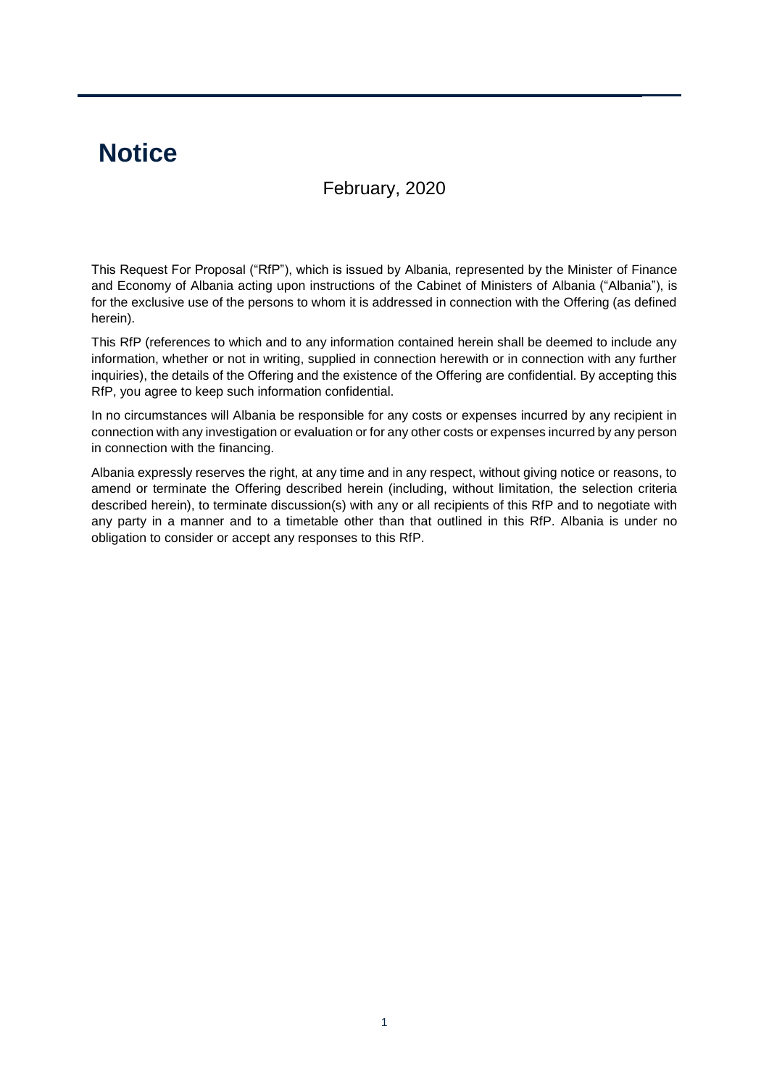# **Notice**

# February, 2020

This Request For Proposal ("RfP"), which is issued by Albania, represented by the Minister of Finance and Economy of Albania acting upon instructions of the Cabinet of Ministers of Albania ("Albania"), is for the exclusive use of the persons to whom it is addressed in connection with the Offering (as defined herein).

This RfP (references to which and to any information contained herein shall be deemed to include any information, whether or not in writing, supplied in connection herewith or in connection with any further inquiries), the details of the Offering and the existence of the Offering are confidential. By accepting this RfP, you agree to keep such information confidential.

In no circumstances will Albania be responsible for any costs or expenses incurred by any recipient in connection with any investigation or evaluation or for any other costs or expenses incurred by any person in connection with the financing.

Albania expressly reserves the right, at any time and in any respect, without giving notice or reasons, to amend or terminate the Offering described herein (including, without limitation, the selection criteria described herein), to terminate discussion(s) with any or all recipients of this RfP and to negotiate with any party in a manner and to a timetable other than that outlined in this RfP. Albania is under no obligation to consider or accept any responses to this RfP.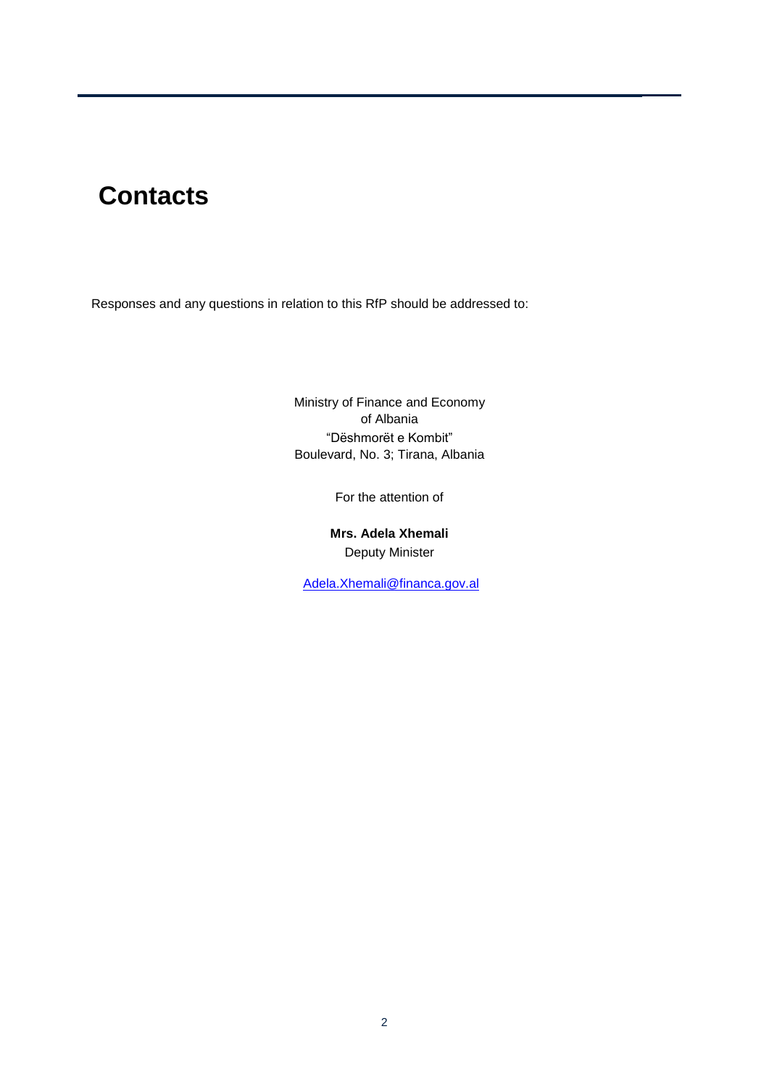# **Contacts**

Responses and any questions in relation to this RfP should be addressed to:

Ministry of Finance and Economy of Albania "Dëshmorët e Kombit" Boulevard, No. 3; Tirana, Albania

For the attention of

**Mrs. Adela Xhemali** Deputy Minister

[Adela.Xhemali@financa.gov.al](mailto:Adela.Xhemali@financa.gov.al)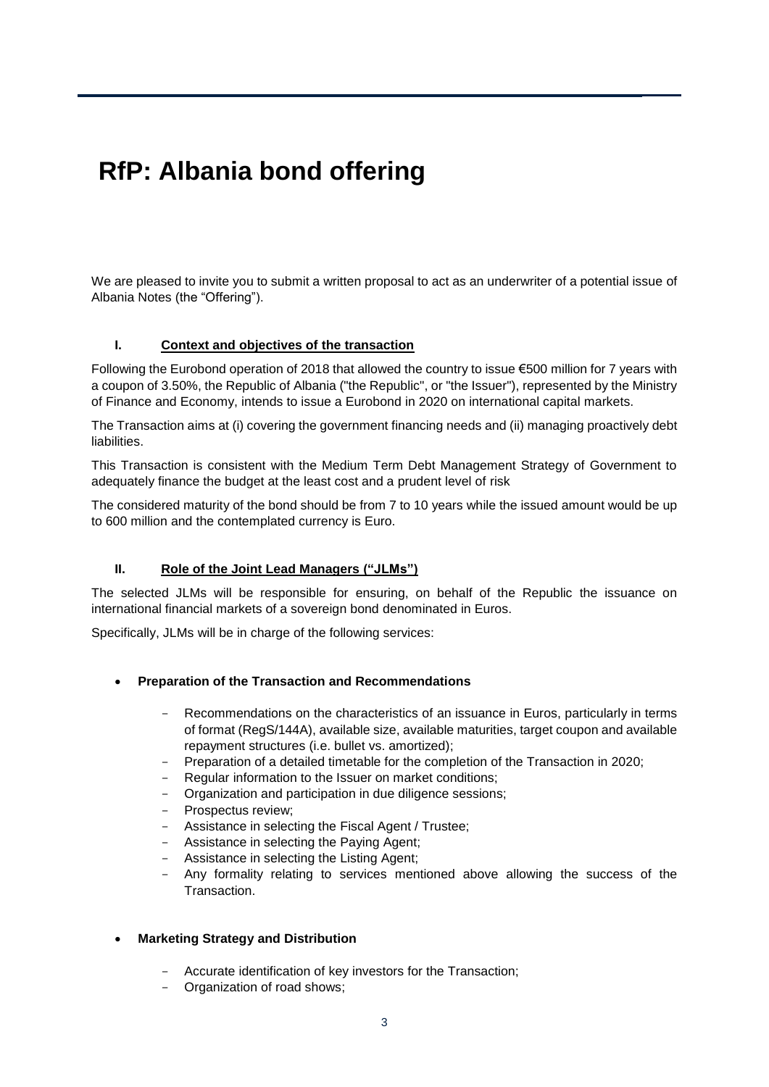# **RfP: Albania bond offering**

We are pleased to invite you to submit a written proposal to act as an underwriter of a potential issue of Albania Notes (the "Offering").

# **I. Context and objectives of the transaction**

Following the Eurobond operation of 2018 that allowed the country to issue €500 million for 7 years with a coupon of 3.50%, the Republic of Albania ("the Republic", or "the Issuer"), represented by the Ministry of Finance and Economy, intends to issue a Eurobond in 2020 on international capital markets.

The Transaction aims at (i) covering the government financing needs and (ii) managing proactively debt liabilities.

This Transaction is consistent with the Medium Term Debt Management Strategy of Government to adequately finance the budget at the least cost and a prudent level of risk

The considered maturity of the bond should be from 7 to 10 years while the issued amount would be up to 600 million and the contemplated currency is Euro.

# **II. Role of the Joint Lead Managers ("JLMs")**

The selected JLMs will be responsible for ensuring, on behalf of the Republic the issuance on international financial markets of a sovereign bond denominated in Euros.

Specifically, JLMs will be in charge of the following services:

#### **Preparation of the Transaction and Recommendations**

- Recommendations on the characteristics of an issuance in Euros, particularly in terms of format (RegS/144A), available size, available maturities, target coupon and available repayment structures (i.e. bullet vs. amortized);
- Preparation of a detailed timetable for the completion of the Transaction in 2020;
- Regular information to the Issuer on market conditions;
- Organization and participation in due diligence sessions;
- Prospectus review;
- Assistance in selecting the Fiscal Agent / Trustee;
- Assistance in selecting the Paying Agent;
- Assistance in selecting the Listing Agent;
- Any formality relating to services mentioned above allowing the success of the Transaction.

#### **Marketing Strategy and Distribution**

- Accurate identification of key investors for the Transaction;
- Organization of road shows;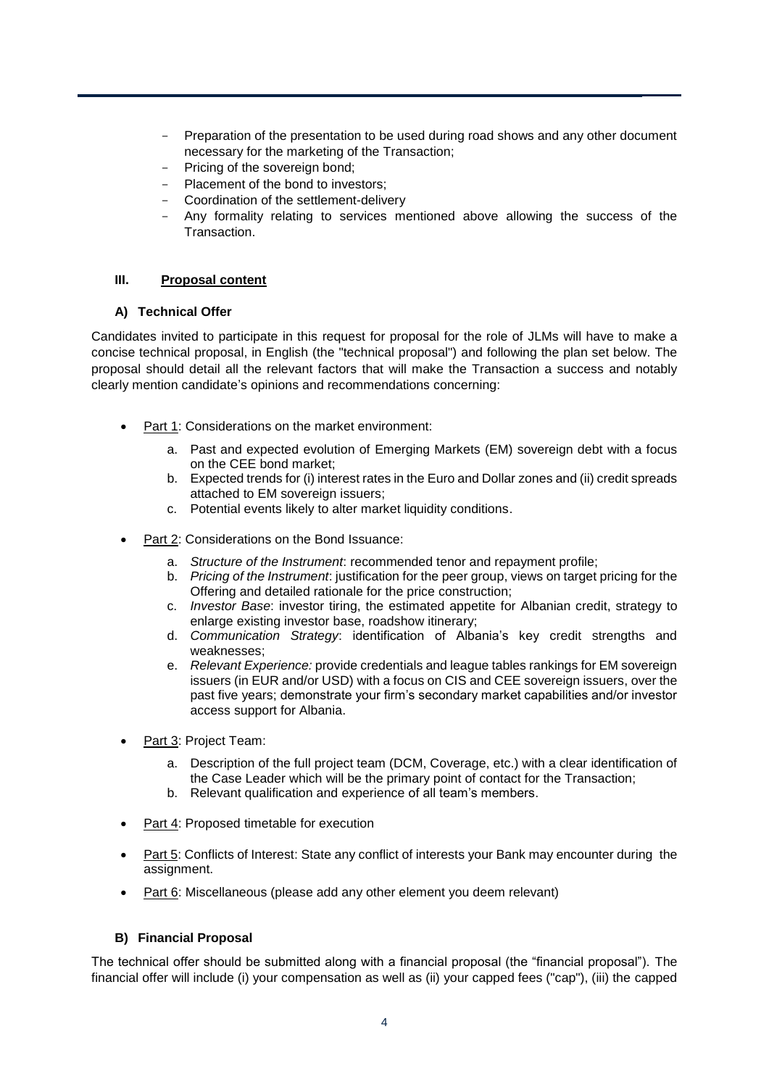- Preparation of the presentation to be used during road shows and any other document necessary for the marketing of the Transaction;
- Pricing of the sovereign bond;
- Placement of the bond to investors;
- Coordination of the settlement-delivery
- Any formality relating to services mentioned above allowing the success of the Transaction.

# **III. Proposal content**

#### **A) Technical Offer**

Candidates invited to participate in this request for proposal for the role of JLMs will have to make a concise technical proposal, in English (the "technical proposal") and following the plan set below. The proposal should detail all the relevant factors that will make the Transaction a success and notably clearly mention candidate's opinions and recommendations concerning:

- Part 1: Considerations on the market environment:
	- a. Past and expected evolution of Emerging Markets (EM) sovereign debt with a focus on the CEE bond market;
	- b. Expected trends for (i) interest rates in the Euro and Dollar zones and (ii) credit spreads attached to EM sovereign issuers;
	- c. Potential events likely to alter market liquidity conditions.
- Part 2: Considerations on the Bond Issuance:
	- a. *Structure of the Instrument*: recommended tenor and repayment profile;
	- b. *Pricing of the Instrument*: justification for the peer group, views on target pricing for the Offering and detailed rationale for the price construction;
	- c. *Investor Base*: investor tiring, the estimated appetite for Albanian credit, strategy to enlarge existing investor base, roadshow itinerary;
	- d. *Communication Strategy*: identification of Albania's key credit strengths and weaknesses;
	- e. *Relevant Experience:* provide credentials and league tables rankings for EM sovereign issuers (in EUR and/or USD) with a focus on CIS and CEE sovereign issuers, over the past five years; demonstrate your firm's secondary market capabilities and/or investor access support for Albania.
- Part 3: Project Team:
	- a. Description of the full project team (DCM, Coverage, etc.) with a clear identification of the Case Leader which will be the primary point of contact for the Transaction;
	- b. Relevant qualification and experience of all team's members.
- Part 4: Proposed timetable for execution
- Part 5: Conflicts of Interest: State any conflict of interests your Bank may encounter during the assignment.
- Part 6: Miscellaneous (please add any other element you deem relevant)

# **B) Financial Proposal**

The technical offer should be submitted along with a financial proposal (the "financial proposal"). The financial offer will include (i) your compensation as well as (ii) your capped fees ("cap"), (iii) the capped